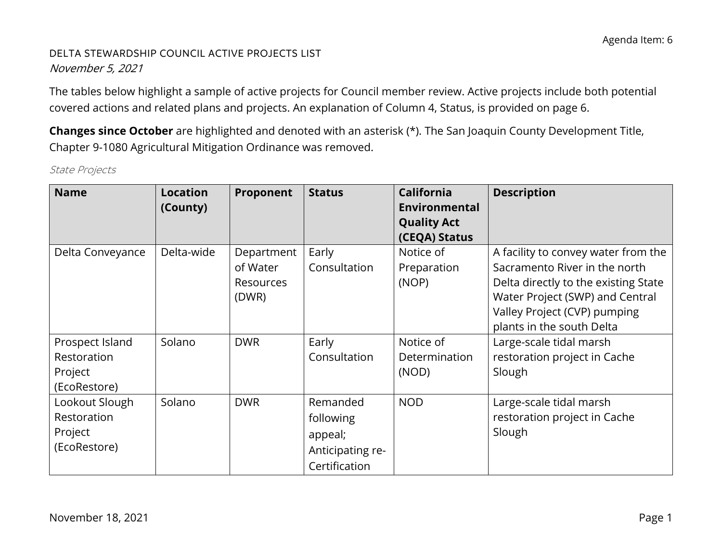#### DELTA STEWARDSHIP COUNCIL ACTIVE PROJECTS LIST November 5, 2021

 covered actions and related plans and projects. An explanation of Column 4, Status, is provided on page 6. The tables below highlight a sample of active projects for Council member review. Active projects include both potential

 Chapter 9-1080 Agricultural Mitigation Ordinance was removed. **Changes since October** are highlighted and denoted with an asterisk (\*). The San Joaquin County Development Title,

| <b>Name</b>                                               | <b>Location</b><br>(County) | Proponent                                    | <b>Status</b>                                                         | <b>California</b><br>Environmental<br><b>Quality Act</b> | <b>Description</b>                                                                                                                                                                                           |
|-----------------------------------------------------------|-----------------------------|----------------------------------------------|-----------------------------------------------------------------------|----------------------------------------------------------|--------------------------------------------------------------------------------------------------------------------------------------------------------------------------------------------------------------|
| Delta Conveyance                                          | Delta-wide                  | Department<br>of Water<br>Resources<br>(DWR) | Early<br>Consultation                                                 | (CEQA) Status<br>Notice of<br>Preparation<br>(NOP)       | A facility to convey water from the<br>Sacramento River in the north<br>Delta directly to the existing State<br>Water Project (SWP) and Central<br>Valley Project (CVP) pumping<br>plants in the south Delta |
| Prospect Island<br>Restoration<br>Project<br>(EcoRestore) | Solano                      | <b>DWR</b>                                   | Early<br>Consultation                                                 | Notice of<br>Determination<br>(NOD)                      | Large-scale tidal marsh<br>restoration project in Cache<br>Slough                                                                                                                                            |
| Lookout Slough<br>Restoration<br>Project<br>(EcoRestore)  | Solano                      | <b>DWR</b>                                   | Remanded<br>following<br>appeal;<br>Anticipating re-<br>Certification | <b>NOD</b>                                               | Large-scale tidal marsh<br>restoration project in Cache<br>Slough                                                                                                                                            |

State Projects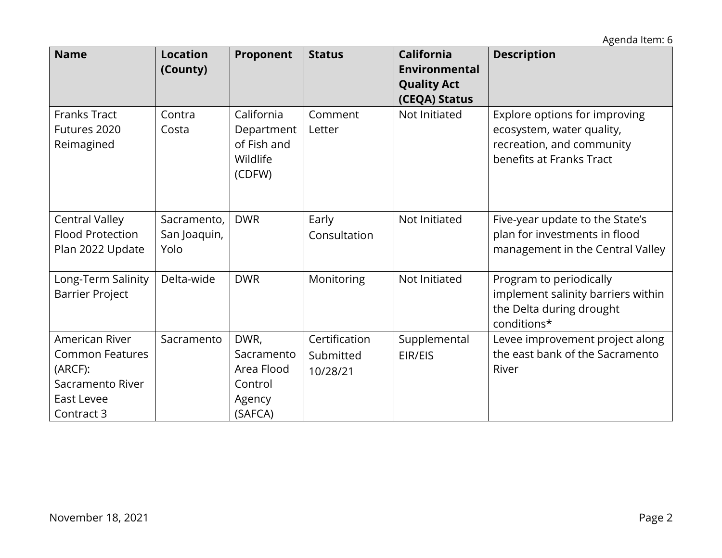Agenda Item: 6

| <b>Name</b>                                                                                         | <b>Location</b><br>(County)         | Proponent                                                        | <b>Status</b>                          | <b>California</b><br>Environmental<br><b>Quality Act</b><br>(CEQA) Status | <b>Description</b>                                                                                                  |
|-----------------------------------------------------------------------------------------------------|-------------------------------------|------------------------------------------------------------------|----------------------------------------|---------------------------------------------------------------------------|---------------------------------------------------------------------------------------------------------------------|
| <b>Franks Tract</b><br>Futures 2020<br>Reimagined                                                   | Contra<br>Costa                     | California<br>Department<br>of Fish and<br>Wildlife<br>(CDFW)    | Comment<br>Letter                      | Not Initiated                                                             | Explore options for improving<br>ecosystem, water quality,<br>recreation, and community<br>benefits at Franks Tract |
| <b>Central Valley</b><br><b>Flood Protection</b><br>Plan 2022 Update                                | Sacramento,<br>San Joaquin,<br>Yolo | <b>DWR</b>                                                       | Early<br>Consultation                  | Not Initiated                                                             | Five-year update to the State's<br>plan for investments in flood<br>management in the Central Valley                |
| Long-Term Salinity<br><b>Barrier Project</b>                                                        | Delta-wide                          | <b>DWR</b>                                                       | Monitoring                             | Not Initiated                                                             | Program to periodically<br>implement salinity barriers within<br>the Delta during drought<br>conditions*            |
| American River<br><b>Common Features</b><br>(ARCF):<br>Sacramento River<br>East Levee<br>Contract 3 | Sacramento                          | DWR,<br>Sacramento<br>Area Flood<br>Control<br>Agency<br>(SAFCA) | Certification<br>Submitted<br>10/28/21 | Supplemental<br>EIR/EIS                                                   | Levee improvement project along<br>the east bank of the Sacramento<br>River                                         |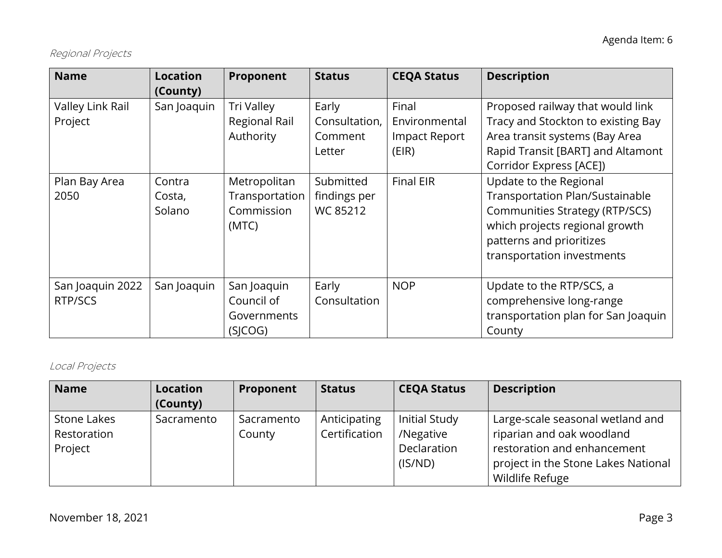# Regional Projects

| <b>Name</b>                                          | <b>Location</b>                                       | Proponent                                                                                         | <b>Status</b>                                                                               | <b>CEQA Status</b>                                                          | <b>Description</b>                                                                                                                                                                                                                                                                                                      |
|------------------------------------------------------|-------------------------------------------------------|---------------------------------------------------------------------------------------------------|---------------------------------------------------------------------------------------------|-----------------------------------------------------------------------------|-------------------------------------------------------------------------------------------------------------------------------------------------------------------------------------------------------------------------------------------------------------------------------------------------------------------------|
| Valley Link Rail<br>Project<br>Plan Bay Area<br>2050 | (County)<br>San Joaquin<br>Contra<br>Costa,<br>Solano | Tri Valley<br>Regional Rail<br>Authority<br>Metropolitan<br>Transportation<br>Commission<br>(MTC) | Early<br>Consultation,<br>Comment<br>Letter<br>Submitted<br>findings per<br><b>WC 85212</b> | Final<br>Environmental<br><b>Impact Report</b><br>(EIR)<br><b>Final EIR</b> | Proposed railway that would link<br>Tracy and Stockton to existing Bay<br>Area transit systems (Bay Area<br>Rapid Transit [BART] and Altamont<br>Corridor Express [ACE])<br>Update to the Regional<br><b>Transportation Plan/Sustainable</b><br><b>Communities Strategy (RTP/SCS)</b><br>which projects regional growth |
|                                                      |                                                       |                                                                                                   |                                                                                             |                                                                             | patterns and prioritizes<br>transportation investments                                                                                                                                                                                                                                                                  |
| San Joaquin 2022<br>RTP/SCS                          | San Joaquin                                           | San Joaquin<br>Council of<br>Governments<br>(SICOG)                                               | Early<br>Consultation                                                                       | <b>NOP</b>                                                                  | Update to the RTP/SCS, a<br>comprehensive long-range<br>transportation plan for San Joaquin<br>County                                                                                                                                                                                                                   |

# Local Projects

| <b>Name</b>                           | <b>Location</b> | Proponent            | <b>Status</b>                 | <b>CEQA Status</b>                                          | <b>Description</b>                                                                                                                                     |
|---------------------------------------|-----------------|----------------------|-------------------------------|-------------------------------------------------------------|--------------------------------------------------------------------------------------------------------------------------------------------------------|
|                                       | (County)        |                      |                               |                                                             |                                                                                                                                                        |
| Stone Lakes<br>Restoration<br>Project | Sacramento      | Sacramento<br>County | Anticipating<br>Certification | <b>Initial Study</b><br>/Negative<br>Declaration<br>(IS/ND) | Large-scale seasonal wetland and<br>riparian and oak woodland<br>restoration and enhancement<br>project in the Stone Lakes National<br>Wildlife Refuge |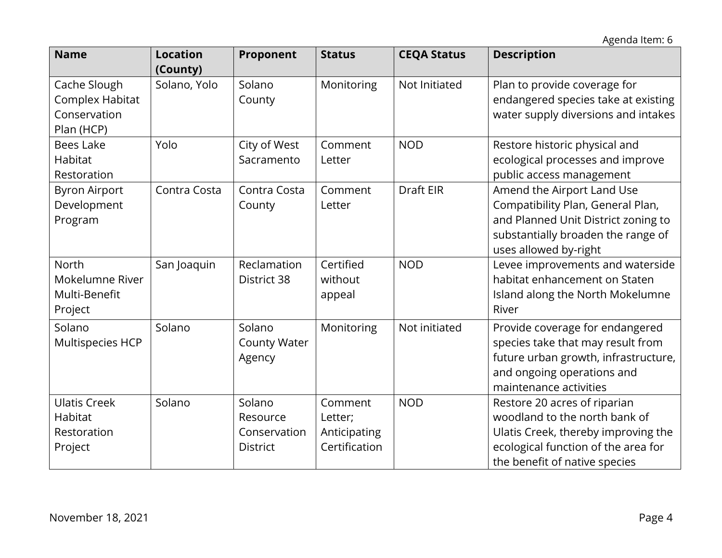| <b>Name</b>                                                   | <b>Location</b><br>(County) | Proponent                                             | <b>Status</b>                                       | <b>CEQA Status</b> | <b>Description</b>                                                                                                                                                           |
|---------------------------------------------------------------|-----------------------------|-------------------------------------------------------|-----------------------------------------------------|--------------------|------------------------------------------------------------------------------------------------------------------------------------------------------------------------------|
| Cache Slough<br>Complex Habitat<br>Conservation<br>Plan (HCP) | Solano, Yolo                | Solano<br>County                                      | Monitoring                                          | Not Initiated      | Plan to provide coverage for<br>endangered species take at existing<br>water supply diversions and intakes                                                                   |
| <b>Bees Lake</b><br>Habitat<br>Restoration                    | Yolo                        | City of West<br>Sacramento                            | Comment<br>Letter                                   | <b>NOD</b>         | Restore historic physical and<br>ecological processes and improve<br>public access management                                                                                |
| <b>Byron Airport</b><br>Development<br>Program                | Contra Costa                | Contra Costa<br>County                                | Comment<br>Letter                                   | Draft EIR          | Amend the Airport Land Use<br>Compatibility Plan, General Plan,<br>and Planned Unit District zoning to<br>substantially broaden the range of<br>uses allowed by-right        |
| <b>North</b><br>Mokelumne River<br>Multi-Benefit<br>Project   | San Joaquin                 | Reclamation<br>District 38                            | Certified<br>without<br>appeal                      | <b>NOD</b>         | Levee improvements and waterside<br>habitat enhancement on Staten<br>Island along the North Mokelumne<br>River                                                               |
| Solano<br>Multispecies HCP                                    | Solano                      | Solano<br><b>County Water</b><br>Agency               | Monitoring                                          | Not initiated      | Provide coverage for endangered<br>species take that may result from<br>future urban growth, infrastructure,<br>and ongoing operations and<br>maintenance activities         |
| <b>Ulatis Creek</b><br>Habitat<br>Restoration<br>Project      | Solano                      | Solano<br>Resource<br>Conservation<br><b>District</b> | Comment<br>Letter;<br>Anticipating<br>Certification | <b>NOD</b>         | Restore 20 acres of riparian<br>woodland to the north bank of<br>Ulatis Creek, thereby improving the<br>ecological function of the area for<br>the benefit of native species |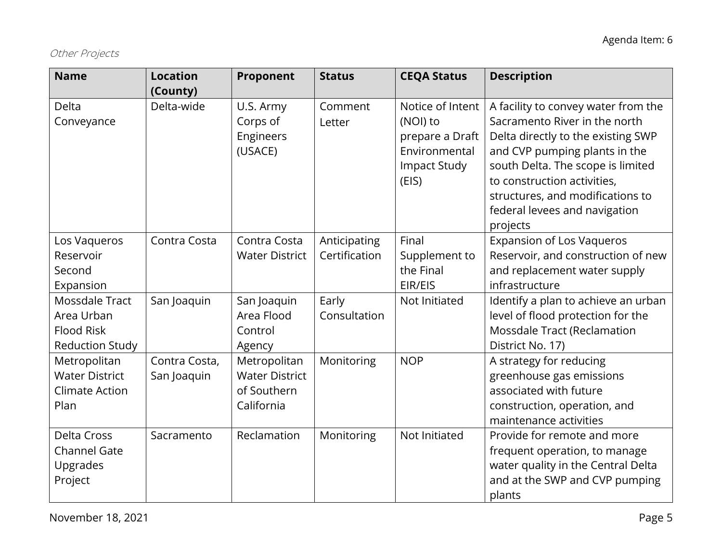# Other Projects

| <b>Name</b>                                                                 | <b>Location</b><br>(County)  | Proponent                                                          | <b>Status</b>                 | <b>CEQA Status</b>                                                                               | <b>Description</b>                                                                                                                                                                                                                                                                               |
|-----------------------------------------------------------------------------|------------------------------|--------------------------------------------------------------------|-------------------------------|--------------------------------------------------------------------------------------------------|--------------------------------------------------------------------------------------------------------------------------------------------------------------------------------------------------------------------------------------------------------------------------------------------------|
| Delta<br>Conveyance                                                         | Delta-wide                   | U.S. Army<br>Corps of<br>Engineers<br>(USACE)                      | Comment<br>Letter             | Notice of Intent<br>(NOI) to<br>prepare a Draft<br>Environmental<br><b>Impact Study</b><br>(EIS) | A facility to convey water from the<br>Sacramento River in the north<br>Delta directly to the existing SWP<br>and CVP pumping plants in the<br>south Delta. The scope is limited<br>to construction activities,<br>structures, and modifications to<br>federal levees and navigation<br>projects |
| Los Vaqueros<br>Reservoir<br>Second<br>Expansion                            | Contra Costa                 | Contra Costa<br><b>Water District</b>                              | Anticipating<br>Certification | Final<br>Supplement to<br>the Final<br>EIR/EIS                                                   | <b>Expansion of Los Vaqueros</b><br>Reservoir, and construction of new<br>and replacement water supply<br>infrastructure                                                                                                                                                                         |
| Mossdale Tract<br>Area Urban<br><b>Flood Risk</b><br><b>Reduction Study</b> | San Joaquin                  | San Joaquin<br>Area Flood<br>Control<br>Agency                     | Early<br>Consultation         | Not Initiated                                                                                    | Identify a plan to achieve an urban<br>level of flood protection for the<br>Mossdale Tract (Reclamation<br>District No. 17)                                                                                                                                                                      |
| Metropolitan<br><b>Water District</b><br><b>Climate Action</b><br>Plan      | Contra Costa,<br>San Joaquin | Metropolitan<br><b>Water District</b><br>of Southern<br>California | Monitoring                    | <b>NOP</b>                                                                                       | A strategy for reducing<br>greenhouse gas emissions<br>associated with future<br>construction, operation, and<br>maintenance activities                                                                                                                                                          |
| Delta Cross<br><b>Channel Gate</b><br>Upgrades<br>Project                   | Sacramento                   | Reclamation                                                        | Monitoring                    | Not Initiated                                                                                    | Provide for remote and more<br>frequent operation, to manage<br>water quality in the Central Delta<br>and at the SWP and CVP pumping<br>plants                                                                                                                                                   |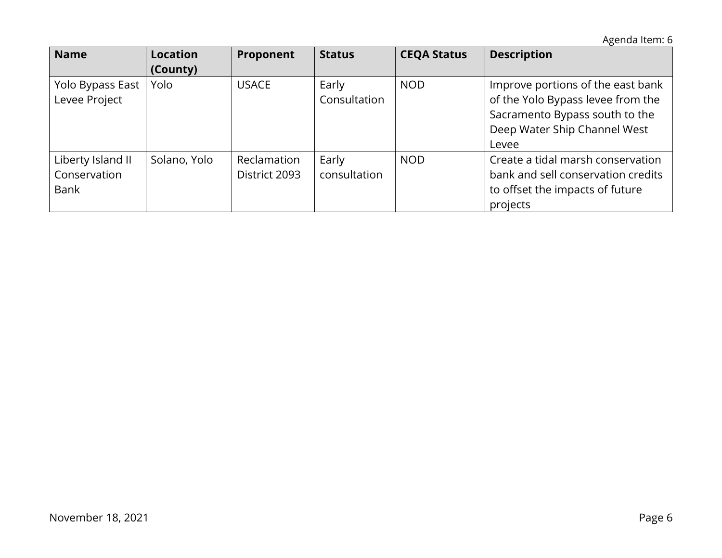Agenda Item: 6

| <b>Name</b>                                      | <b>Location</b><br>(County) | Proponent                    | <b>Status</b>         | <b>CEQA Status</b> | <b>Description</b>                                                                                                                                |
|--------------------------------------------------|-----------------------------|------------------------------|-----------------------|--------------------|---------------------------------------------------------------------------------------------------------------------------------------------------|
| Yolo Bypass East<br>Levee Project                | Yolo                        | <b>USACE</b>                 | Early<br>Consultation | <b>NOD</b>         | Improve portions of the east bank<br>of the Yolo Bypass levee from the<br>Sacramento Bypass south to the<br>Deep Water Ship Channel West<br>Levee |
| Liberty Island II<br>Conservation<br><b>Bank</b> | Solano, Yolo                | Reclamation<br>District 2093 | Early<br>consultation | <b>NOD</b>         | Create a tidal marsh conservation<br>bank and sell conservation credits<br>to offset the impacts of future<br>projects                            |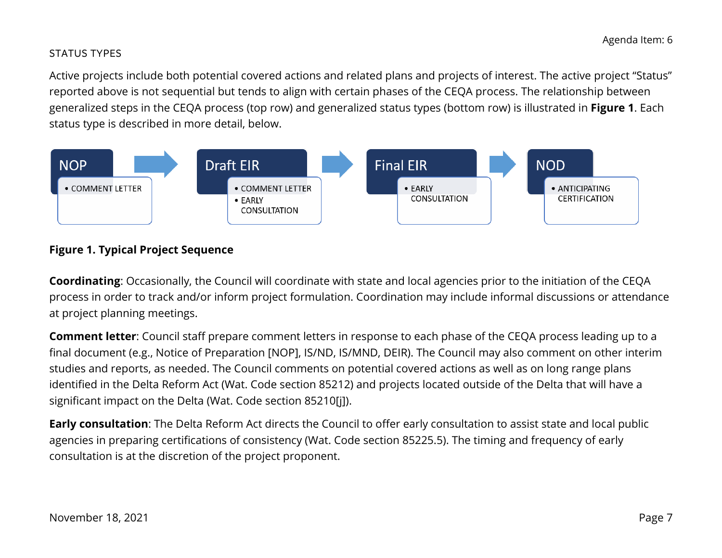#### STATUS TYPES

 status type is described in more detail, below. Active projects include both potential covered actions and related plans and projects of interest. The active project "Status" reported above is not sequential but tends to align with certain phases of the CEQA process. The relationship between generalized steps in the CEQA process (top row) and generalized status types (bottom row) is illustrated in **Figure 1**. Each



#### **Figure 1. Typical Project Sequence**

 process in order to track and/or inform project formulation. Coordination may include informal discussions or attendance **Coordinating**: Occasionally, the Council will coordinate with state and local agencies prior to the initiation of the CEQA at project planning meetings.

 identified in the Delta Reform Act (Wat. Code section 85212) and projects located outside of the Delta that will have a **Comment letter**: Council staff prepare comment letters in response to each phase of the CEQA process leading up to a final document (e.g., Notice of Preparation [NOP], IS/ND, IS/MND, DEIR). The Council may also comment on other interim studies and reports, as needed. The Council comments on potential covered actions as well as on long range plans significant impact on the Delta (Wat. Code section 85210[j]).

 agencies in preparing certifications of consistency (Wat. Code section 85225.5). The timing and frequency of early consultation is at the discretion of the project proponent. **Early consultation**: The Delta Reform Act directs the Council to offer early consultation to assist state and local public